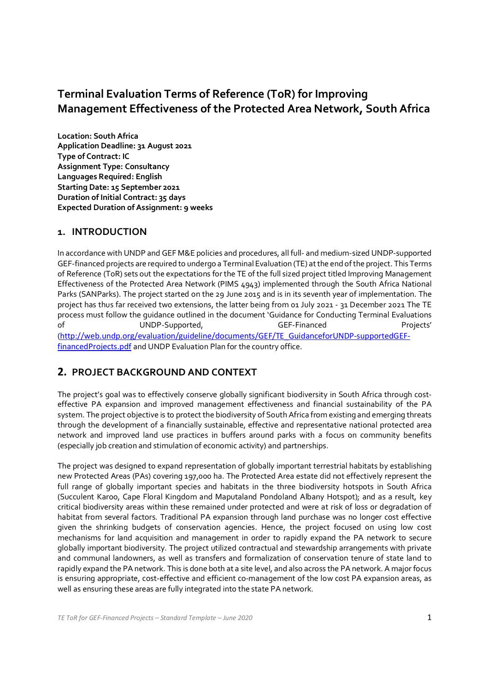## **Terminal Evaluation Terms of Reference (ToR) for Improving Management Effectiveness of the Protected Area Network, South Africa**

**Location: South Africa Application Deadline: 31 August 2021 Type of Contract: IC Assignment Type: Consultancy Languages Required: English Starting Date: 15 September 2021 Duration of Initial Contract: 35 days Expected Duration of Assignment: 9 weeks**

### **1. INTRODUCTION**

In accordance with UNDP and GEF M&E policies and procedures, all full- and medium-sized UNDP-supported GEF-financed projects are required to undergo a Terminal Evaluation (TE) atthe end ofthe project. This Terms of Reference (ToR) sets out the expectations for the TE of the full sized project titled Improving Management Effectiveness of the Protected Area Network (PIMS 4943) implemented through the South Africa National Parks (SANParks). The project started on the 29 June 2015 and is in its seventh year of implementation. The project has thus far received two extensions, the latter being from 01 July 2021 - 31 December 2021 The TE process must follow the guidance outlined in the document 'Guidance for Conducting Terminal Evaluations of UNDP-Supported, GEF-Financed Projects' (http://web.undp.org/evaluation/guideline/documents/GEF/TE\_GuidanceforUNDP-supportedGEFfinancedProjects.pdf and UNDP Evaluation Plan for the country office.

### **2. PROJECT BACKGROUND AND CONTEXT**

The project's goal was to effectively conserve globally significant biodiversity in South Africa through costeffective PA expansion and improved management effectiveness and financial sustainability of the PA system. The project objective is to protect the biodiversity of South Africa from existing and emerging threats through the development of a financially sustainable, effective and representative national protected area network and improved land use practices in buffers around parks with a focus on community benefits (especially job creation and stimulation of economic activity) and partnerships.

The project was designed to expand representation of globally important terrestrial habitats by establishing new Protected Areas (PAs) covering 197,000 ha. The Protected Area estate did not effectively represent the full range of globally important species and habitats in the three biodiversity hotspots in South Africa (Succulent Karoo, Cape Floral Kingdom and Maputaland Pondoland Albany Hotspot); and as a result, key critical biodiversity areas within these remained under protected and were at risk of loss or degradation of habitat from several factors. Traditional PA expansion through land purchase was no longer cost effective given the shrinking budgets of conservation agencies. Hence, the project focused on using low cost mechanisms for land acquisition and management in order to rapidly expand the PA network to secure globally important biodiversity. The project utilized contractual and stewardship arrangements with private and communal landowners, as well as transfers and formalization of conservation tenure of state land to rapidly expand the PA network. This is done both at a site level, and also across the PA network. A major focus is ensuring appropriate, cost-effective and efficient co-management of the low cost PA expansion areas, as well as ensuring these areas are fully integrated into the state PA network.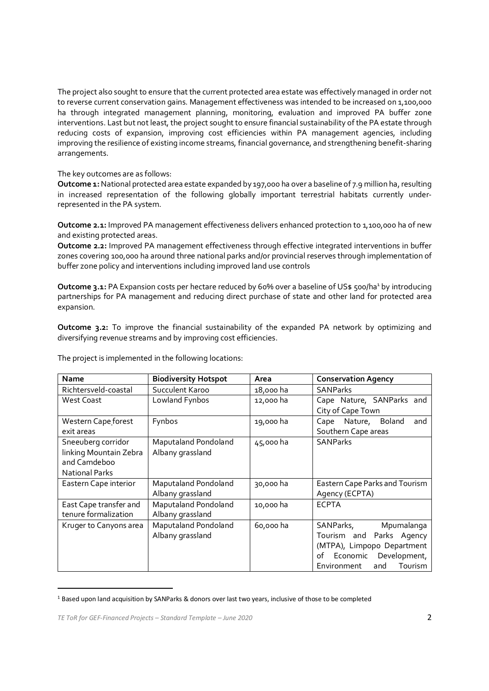The project also sought to ensure that the current protected area estate was effectively managed in order not to reverse current conservation gains. Management effectiveness was intended to be increased on 1,100,000 ha through integrated management planning, monitoring, evaluation and improved PA buffer zone interventions. Last but not least, the project sought to ensure financial sustainability of the PA estate through reducing costs of expansion, improving cost efficiencies within PA management agencies, including improving the resilience of existing income streams, financial governance, and strengthening benefit-sharing arrangements.

The key outcomes are as follows:

**Outcome 1:** National protected area estate expanded by 197,000 ha over a baseline of 7.9 million ha, resulting in increased representation of the following globally important terrestrial habitats currently underrepresented in the PA system.

**Outcome 2.1:** Improved PA management effectiveness delivers enhanced protection to 1,100,000 ha of new and existing protected areas.

**Outcome 2.2:** Improved PA management effectiveness through effective integrated interventions in buffer zones covering 100,000 ha around three national parks and/or provincial reserves through implementation of buffer zone policy and interventions including improved land use controls

Outcome 3.1: PA Expansion costs per hectare reduced by 60% over a baseline of US\$ 500/ha<sup>1</sup> by introducing partnerships for PA management and reducing direct purchase of state and other land for protected area expansion.

**Outcome 3.2:** To improve the financial sustainability of the expanded PA network by optimizing and diversifying revenue streams and by improving cost efficiencies.

| <b>Name</b>                                                                           | <b>Biodiversity Hotspot</b>              | Area      | <b>Conservation Agency</b>                                                                                                                            |
|---------------------------------------------------------------------------------------|------------------------------------------|-----------|-------------------------------------------------------------------------------------------------------------------------------------------------------|
| Richtersveld-coastal                                                                  | Succulent Karoo                          | 18,000 ha | <b>SANParks</b>                                                                                                                                       |
| <b>West Coast</b>                                                                     | Lowland Fynbos                           | 12,000 ha | Cape Nature, SANParks and<br>City of Cape Town                                                                                                        |
| Western Cape forest<br>exit areas                                                     | Fynbos                                   | 19,000 ha | Nature, Boland<br>Cape<br>and<br>Southern Cape areas                                                                                                  |
| Sneeuberg corridor<br>linking Mountain Zebra<br>and Camdeboo<br><b>National Parks</b> | Maputaland Pondoland<br>Albany grassland | 45,000 ha | <b>SANParks</b>                                                                                                                                       |
| Eastern Cape interior                                                                 | Maputaland Pondoland<br>Albany grassland | 30,000 ha | Eastern Cape Parks and Tourism<br>Agency (ECPTA)                                                                                                      |
| East Cape transfer and<br>tenure formalization                                        | Maputaland Pondoland<br>Albany grassland | 10,000 ha | <b>ECPTA</b>                                                                                                                                          |
| Kruger to Canyons area                                                                | Maputaland Pondoland<br>Albany grassland | 60,000 ha | SANParks,<br>Mpumalanga<br>Tourism and Parks Agency<br>(MTPA), Limpopo Department<br>of Economic Development,<br><b>Tourism</b><br>Environment<br>and |

The project is implemented in the following locations:

<sup>1</sup> Based upon land acquisition by SANParks & donors over last two years, inclusive of those to be completed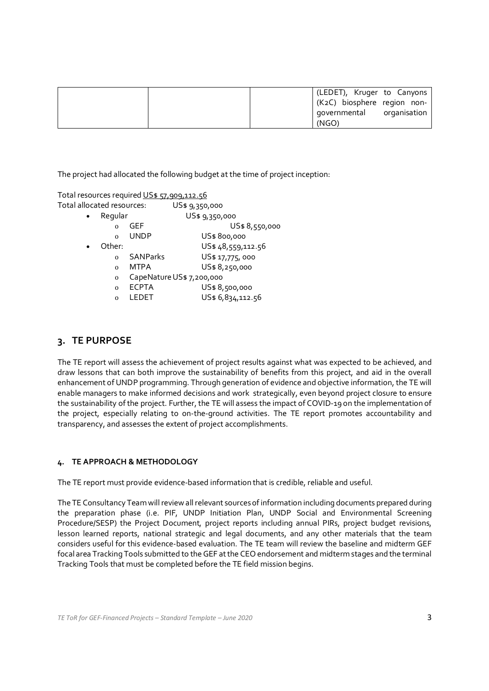| (LEDET), Kruger to Canyons<br>(K2C) biosphere region non- |  |
|-----------------------------------------------------------|--|
| governmental organisation<br>(NGO)                        |  |

The project had allocated the following budget at the time of project inception:

| Total resources required US\$ 57,909,112.56 |                 |                   |  |
|---------------------------------------------|-----------------|-------------------|--|
| Total allocated resources:                  |                 | US\$ 9,350,000    |  |
| Regular<br>$\bullet$                        |                 | US\$ 9,350,000    |  |
| $\Omega$                                    | GEF             | US\$ 8,550,000    |  |
| $\Omega$                                    | <b>UNDP</b>     | US\$800,000       |  |
| Other:<br>$\bullet$                         |                 | US\$48,559,112.56 |  |
| $\Omega$                                    | <b>SANParks</b> | US\$ 17,775,000   |  |

- o MTPA US\$ 8,250,000
- o CapeNatureUS\$ 7,200,000
- o ECPTA US\$ 8,500,000
- o LEDET US\$ 6,834,112.56

#### **3. TE PURPOSE**

The TE report will assess the achievement of project results against what was expected to be achieved, and draw lessons that can both improve the sustainability of benefits from this project, and aid in the overall enhancement of UNDP programming. Through generation of evidence and objective information, the TE will enable managers to make informed decisions and work strategically, even beyond project closure to ensure the sustainability ofthe project. Further, the TE will assess the impact of COVID-19 on the implementation of the project, especially relating to on-the-ground activities. The TE report promotes accountability and transparency, and assesses the extent of project accomplishments.

#### **4. TE APPROACH & METHODOLOGY**

The TE report must provide evidence-based information that is credible, reliable and useful.

The TE Consultancy Team will review all relevant sources of information including documents prepared during the preparation phase (i.e. PIF, UNDP Initiation Plan, UNDP Social and Environmental Screening Procedure/SESP) the Project Document, project reports including annual PIRs, project budget revisions, lesson learned reports, national strategic and legal documents, and any other materials that the team considers useful for this evidence-based evaluation. The TE team will review the baseline and midterm GEF focal area Tracking Tools submitted to theGEF atthe CEO endorsement and midterm stages and the terminal Tracking Tools that must be completed before the TE field mission begins.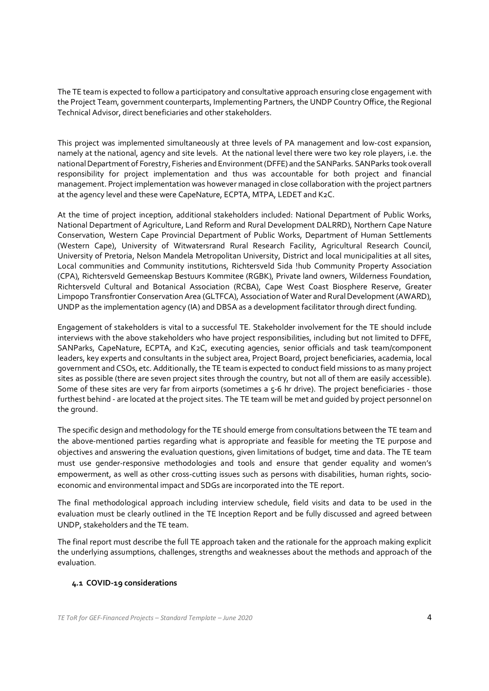The TE team is expected to follow a participatory and consultative approach ensuring close engagement with the Project Team, government counterparts, Implementing Partners, the UNDP Country Office, the Regional Technical Advisor, direct beneficiaries and other stakeholders.

This project was implemented simultaneously at three levels of PA management and low-cost expansion, namely at the national, agency and site levels. At the national level there were two key role players, i.e. the nationalDepartment of Forestry, Fisheries and Environment(DFFE) and theSANParks. SANParks tookoverall responsibility for project implementation and thus was accountable for both project and financial management. Projectimplementation was however managed in close collaboration with the project partners at the agency level and these were CapeNature, ECPTA, MTPA, LEDET and K2C.

At the time of project inception, additional stakeholders included: National Department of Public Works, National Department of Agriculture, Land Reform and Rural Development DALRRD), Northern Cape Nature Conservation, Western Cape Provincial Department of Public Works, Department of Human Settlements (Western Cape), University of Witwatersrand Rural Research Facility, Agricultural Research Council, University of Pretoria, Nelson Mandela Metropolitan University, District and local municipalities at all sites, Local communities and Community institutions, Richtersveld Sida !hub Community Property Association (CPA), Richtersveld Gemeenskap Bestuurs Kommitee (RGBK), Private land owners, Wilderness Foundation, Richtersveld Cultural and Botanical Association (RCBA), Cape West Coast Biosphere Reserve, Greater Limpopo Transfrontier Conservation Area (GLTFCA), Association of Water and Rural Development (AWARD), UNDP as the implementation agency (IA) and DBSA as a development facilitator through direct funding.

Engagement of stakeholders is vital to a successful TE. Stakeholder involvement for the TE should include interviews with the above stakeholders who have project responsibilities, including but not limited to DFFE, SANParks, CapeNature, ECPTA, and K2C, executing agencies, senior officials and task team/component leaders, key experts and consultants in the subject area, Project Board, project beneficiaries, academia, local government and CSOs, etc. Additionally, the TE team is expected to conduct field missions to as many project sites as possible (there are seven project sites through the country, but not all of them are easily accessible). Some of these sites are very far from airports (sometimes a 5-6 hr drive). The project beneficiaries - those furthest behind - are located at the project sites. The TE team will be met and guided by project personnel on the ground.

The specific design and methodology for the TE should emerge from consultations between the TE team and the above-mentioned parties regarding what is appropriate and feasible for meeting the TE purpose and objectives and answering the evaluation questions, given limitations of budget, time and data. The TE team must use gender-responsive methodologies and tools and ensure that gender equality and women's empowerment, as well as other cross-cutting issues such as persons with disabilities, human rights, socioeconomic and environmental impact and SDGs are incorporated into the TE report.

The final methodological approach including interview schedule, field visits and data to be used in the evaluation must be clearly outlined in the TE Inception Report and be fully discussed and agreed between UNDP, stakeholders and the TE team.

The final report must describe the full TE approach taken and the rationale for the approach making explicit the underlying assumptions, challenges, strengths and weaknesses about the methods and approach of the evaluation.

#### **4.1 COVID-19 considerations**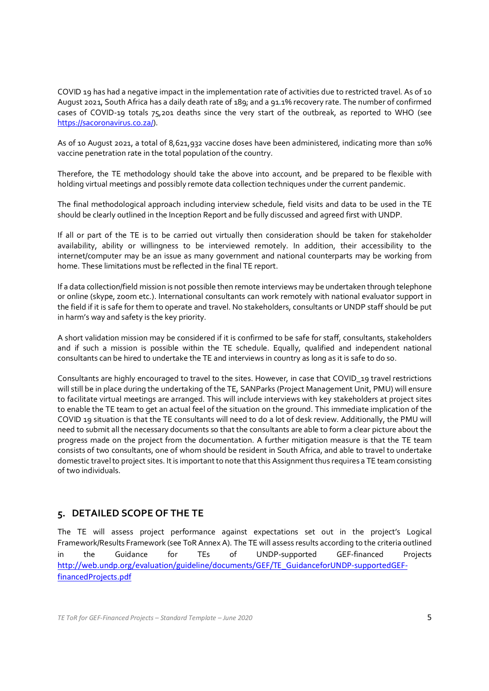COVID 19 has had a negative impact in the implementation rate of activities due to restricted travel. As of 10 August 2021, South Africa has a daily death rate of 189; and a 91.1% recovery rate. The number of confirmed cases of COVID-19 totals 75,201 deaths since the very start of the outbreak, as reported to WHO (see https://sacoronavirus.co.za/).

As of 10 August 2021, a total of 8,621,932 vaccine doses have been administered, indicating more than 10% vaccine penetration rate in the total population of the country.

Therefore, the TE methodology should take the above into account, and be prepared to be flexible with holding virtual meetings and possibly remote data collection techniques under the current pandemic.

The final methodological approach including interview schedule, field visits and data to be used in the TE should be clearly outlined in the Inception Report and be fully discussed and agreed first with UNDP.

If all or part of the TE is to be carried out virtually then consideration should be taken for stakeholder availability, ability or willingness to be interviewed remotely. In addition, their accessibility to the internet/computer may be an issue as many government and national counterparts may be working from home. These limitations must be reflected in the final TE report.

If a data collection/field mission is not possible then remote interviews may be undertaken through telephone or online (skype, zoom etc.). International consultants can work remotely with national evaluator support in the field if it is safe for them to operate and travel. No stakeholders, consultants or UNDP staff should be put in harm's way and safety is the key priority.

A short validation mission may be considered if it is confirmed to be safe for staff, consultants, stakeholders and if such a mission is possible within the TE schedule. Equally, qualified and independent national consultants can be hired to undertake the TE and interviews in country as long as it is safe to do so.

Consultants are highly encouraged to travel to the sites. However, in case that COVID\_19 travel restrictions will still be in place during the undertaking of the TE, SANParks (Project Management Unit, PMU) will ensure to facilitate virtual meetings are arranged. This will include interviews with key stakeholders at project sites to enable the TE team to get an actual feel of the situation on the ground. This immediate implication of the COVID 19 situation is that the TE consultants will need to do a lot of desk review. Additionally, the PMU will need to submit all the necessary documents so that the consultants are able to form a clear picture about the progress made on the project from the documentation. A further mitigation measure is that the TE team consists of two consultants, one of whom should be resident in South Africa, and able to travel to undertake domestic travel to project sites. It is important to note that this Assignment thus requires a TE team consisting of two individuals.

### **5. DETAILED SCOPE OF THE TE**

The TE will assess project performance against expectations set out in the project's Logical Framework/Results Framework (see ToRAnnex A). The TE will assess results according to the criteria outlined in the Guidance for TEs of UNDP-supported GEF-financed Projects http://web.undp.org/evaluation/guideline/documents/GEF/TE\_GuidanceforUNDP-supportedGEFfinancedProjects.pdf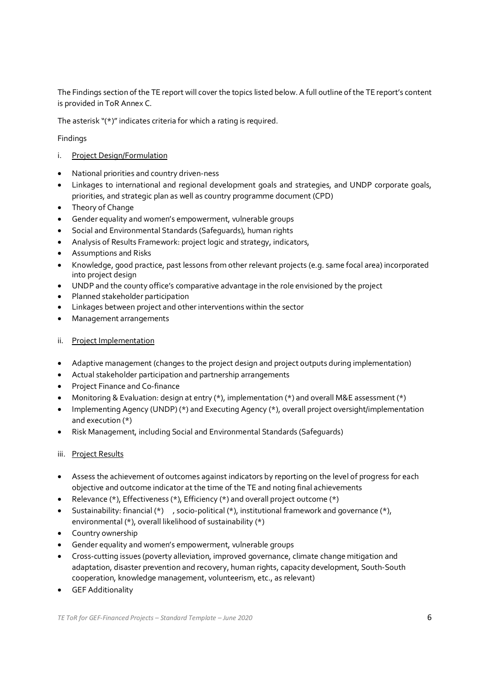The Findings section of the TE report will cover the topics listed below.A full outline ofthe TE report's content is provided in ToR Annex C.

The asterisk " $(*)$ " indicates criteria for which a rating is required.

Findings

- i. Project Design/Formulation
- · National priorities and country driven-ness
- · Linkages to international and regional development goals and strategies, and UNDP corporate goals, priorities, and strategic plan as well as country programme document (CPD)
- · Theory of Change
- · Gender equality and women's empowerment, vulnerable groups
- · Social and Environmental Standards (Safeguards), human rights
- · Analysis of Results Framework: project logic and strategy, indicators,
- · Assumptions and Risks
- · Knowledge, good practice, past lessons from other relevant projects (e.g. same focal area) incorporated into project design
- · UNDP and the county office's comparative advantage in the role envisioned by the project
- · Planned stakeholder participation
- · Linkages between project and other interventions within the sector
- · Management arrangements
- ii. Project Implementation
- · Adaptive management (changes to the project design and project outputs during implementation)
- · Actual stakeholder participation and partnership arrangements
- · Project Finance and Co-finance
- · Monitoring & Evaluation: design at entry (\*), implementation (\*) and overall M&E assessment (\*)
- · Implementing Agency (UNDP) (\*) and Executing Agency (\*), overall project oversight/implementation and execution (\*)
- · Risk Management, including Social and Environmental Standards (Safeguards)
- iii. Project Results
- · Assess the achievement of outcomes against indicators by reporting on the level of progress for each objective and outcome indicator at the time of the TE and noting final achievements
- Relevance (\*), Effectiveness (\*), Efficiency (\*) and overall project outcome (\*)
- · Sustainability: financial (\*) , socio-political (\*), institutional framework and governance (\*), environmental (\*), overall likelihood of sustainability (\*)
- · Country ownership
- · Gender equality and women's empowerment, vulnerable groups
- · Cross-cutting issues (poverty alleviation, improved governance, climate change mitigation and adaptation, disaster prevention and recovery, human rights, capacity development, South-South cooperation, knowledge management, volunteerism, etc., as relevant)
- · GEF Additionality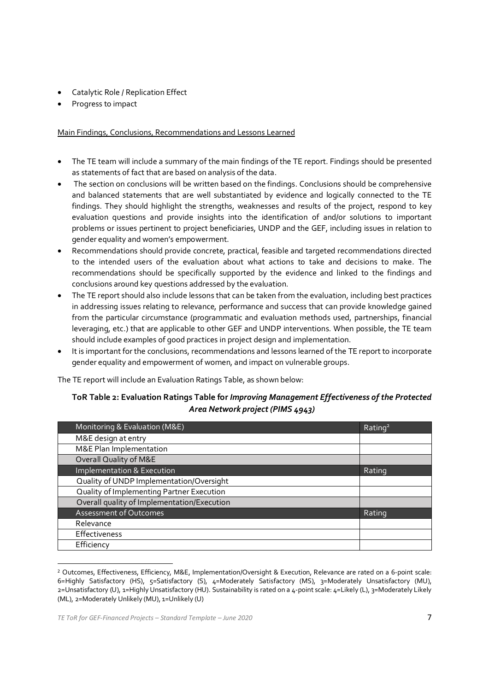- Catalytic Role / Replication Effect
- Progress to impact

Main Findings, Conclusions, Recommendations and Lessons Learned

- · The TE team will include a summary of the main findings of the TE report. Findings should be presented as statements of fact that are based on analysis of the data.
- The section on conclusions will be written based on the findings. Conclusions should be comprehensive and balanced statements that are well substantiated by evidence and logically connected to the TE findings. They should highlight the strengths, weaknesses and results of the project, respond to key evaluation questions and provide insights into the identification of and/or solutions to important problems or issues pertinent to project beneficiaries, UNDP and the GEF, including issues in relation to gender equality and women's empowerment.
- Recommendations should provide concrete, practical, feasible and targeted recommendations directed to the intended users of the evaluation about what actions to take and decisions to make. The recommendations should be specifically supported by the evidence and linked to the findings and conclusions around key questions addressed by the evaluation.
- The TE report should also include lessons that can be taken from the evaluation, including best practices in addressing issues relating to relevance, performance and success that can provide knowledge gained from the particular circumstance (programmatic and evaluation methods used, partnerships, financial leveraging, etc.) that are applicable to other GEF and UNDP interventions. When possible, the TE team should include examples of good practices in project design and implementation.
- It is important for the conclusions, recommendations and lessons learned of the TE report to incorporate gender equality and empowerment of women, and impact on vulnerable groups.

The TE report will include an Evaluation Ratings Table, as shown below:

### **ToR Table 2: Evaluation Ratings Table for** *Improving Management Effectiveness of the Protected Area Network project(PIMS 4943)*

| Monitoring & Evaluation (M&E)               | Rating <sup>2</sup> |
|---------------------------------------------|---------------------|
| M&E design at entry                         |                     |
| M&E Plan Implementation                     |                     |
| Overall Quality of M&E                      |                     |
| Implementation & Execution                  | Rating              |
| Quality of UNDP Implementation/Oversight    |                     |
| Quality of Implementing Partner Execution   |                     |
| Overall quality of Implementation/Execution |                     |
| <b>Assessment of Outcomes</b>               | Rating              |
| Relevance                                   |                     |
| <b>Effectiveness</b>                        |                     |
| Efficiency                                  |                     |

<sup>2</sup> Outcomes, Effectiveness, Efficiency, M&E, Implementation/Oversight & Execution, Relevance are rated on a 6-point scale: 6=Highly Satisfactory (HS), 5=Satisfactory (S), 4=Moderately Satisfactory (MS), 3=Moderately Unsatisfactory (MU), 2=Unsatisfactory (U), 1=Highly Unsatisfactory (HU). Sustainability is rated on a 4-point scale: 4=Likely (L), 3=Moderately Likely (ML), 2=Moderately Unlikely (MU), 1=Unlikely (U)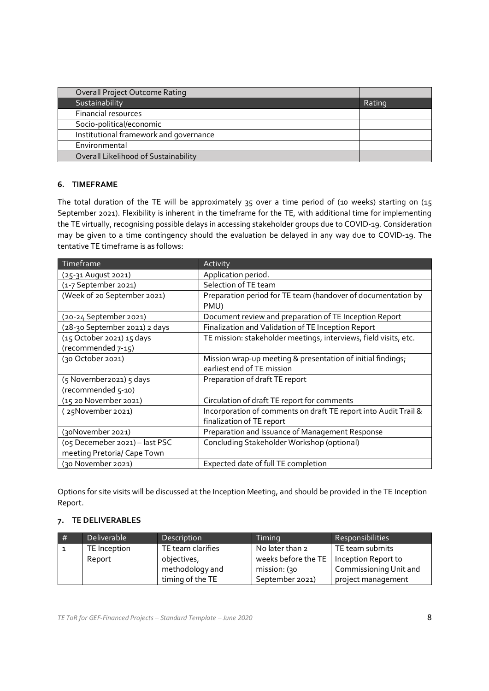| Rating |
|--------|
|        |
|        |
|        |
|        |
|        |
|        |

#### **6. TIMEFRAME**

The total duration of the TE will be approximately 35 over a time period of (10 weeks) starting on (15 September 2021). Flexibility is inherent in the timeframe for the TE, with additional time for implementing the TE virtually, recognising possible delays in accessing stakeholder groups due to COVID-19. Consideration may be given to a time contingency should the evaluation be delayed in any way due to COVID-19. The tentative TE timeframe is as follows:

| Timeframe                                                     | Activity                                                                                     |
|---------------------------------------------------------------|----------------------------------------------------------------------------------------------|
| (25-31 August 2021)                                           | Application period.                                                                          |
| (1-7 September 2021)                                          | Selection of TE team                                                                         |
| (Week of 20 September 2021)                                   | Preparation period for TE team (handover of documentation by<br>PMU)                         |
| (20-24 September 2021)                                        | Document review and preparation of TE Inception Report                                       |
| (28-30 September 2021) 2 days                                 | Finalization and Validation of TE Inception Report                                           |
| (15 October 2021) 15 days<br>(recommended 7-15)               | TE mission: stakeholder meetings, interviews, field visits, etc.                             |
| (30 October 2021)                                             | Mission wrap-up meeting & presentation of initial findings;<br>earliest end of TE mission    |
| (5 November2021) 5 days<br>(recommended 5-10)                 | Preparation of draft TE report                                                               |
| (15 20 November 2021)                                         | Circulation of draft TE report for comments                                                  |
| (25November 2021)                                             | Incorporation of comments on draft TE report into Audit Trail &<br>finalization of TE report |
| (30November 2021)                                             | Preparation and Issuance of Management Response                                              |
| (05 Decemeber 2021) - last PSC<br>meeting Pretoria/ Cape Town | Concluding Stakeholder Workshop (optional)                                                   |
| (30 November 2021)                                            | Expected date of full TE completion                                                          |

Options for site visits will be discussed at the Inception Meeting, and should be provided in the TE Inception Report.

#### **7. TE DELIVERABLES**

| # | Deliverable  | Description       | Timina                                    | Responsibilities       |
|---|--------------|-------------------|-------------------------------------------|------------------------|
|   | TE Inception | TE team clarifies | No later than 2                           | TE team submits        |
|   | Report       | objectives,       | weeks before the TE   Inception Report to |                        |
|   |              | methodology and   | mission: (30)                             | Commissioning Unit and |
|   |              | timing of the TE  | September 2021)                           | project management     |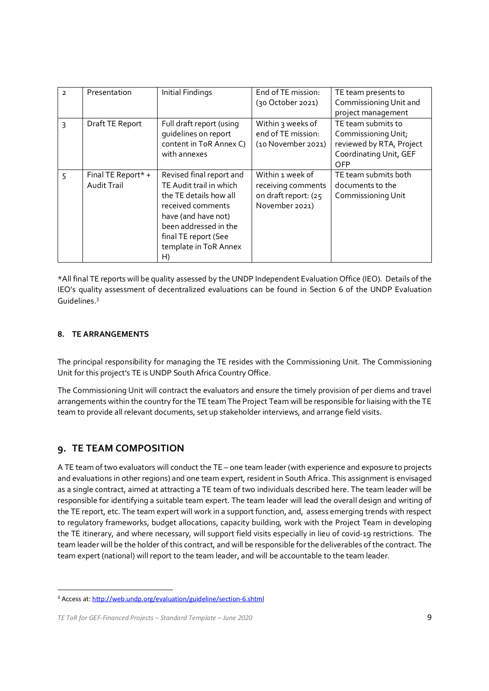| $\mathcal{L}$  | Presentation                      | Initial Findings                                                                                                                                                                                          | End of TE mission:<br>(30 October 2021)                                          | TE team presents to<br>Commissioning Unit and                                                          |
|----------------|-----------------------------------|-----------------------------------------------------------------------------------------------------------------------------------------------------------------------------------------------------------|----------------------------------------------------------------------------------|--------------------------------------------------------------------------------------------------------|
|                |                                   |                                                                                                                                                                                                           |                                                                                  | project management                                                                                     |
| 3              | Draft TE Report                   | Full draft report (using<br>quidelines on report<br>content in ToR Annex C)<br>with annexes                                                                                                               | Within 3 weeks of<br>end of TE mission:<br>(10 November 2021)                    | TE team submits to<br>Commissioning Unit;<br>reviewed by RTA, Project<br>Coordinating Unit, GEF<br>OFP |
| $\overline{5}$ | Final TE Report* +<br>Audit Trail | Revised final report and<br>TE Audit trail in which<br>the TE details how all<br>received comments<br>have (and have not)<br>been addressed in the<br>final TE report (See<br>template in ToR Annex<br>H) | Within 1 week of<br>receiving comments<br>on draft report: (25<br>November 2021) | TE team submits both<br>documents to the<br>Commissioning Unit                                         |

\*All final TE reports will be quality assessed by the UNDP Independent Evaluation Office (IEO). Details of the IEO's quality assessment of decentralized evaluations can be found in Section 6 of the UNDP Evaluation Guidelines. 3

### **8. TE ARRANGEMENTS**

The principal responsibility for managing the TE resides with the Commissioning Unit. The Commissioning Unit for this project's TE is UNDP South Africa Country Office.

The Commissioning Unit will contract the evaluators and ensure the timely provision of per diems and travel arrangements within the country for the TE team The Project Team will be responsible for liaising with the TE team to provide all relevant documents, set up stakeholder interviews, and arrange field visits.

### **9. TE TEAM COMPOSITION**

A TE team of two evaluators will conduct the TE – one team leader (with experience and exposure to projects and evaluations in other regions) and one team expert, resident in South Africa. This assignment is envisaged as a single contract, aimed at attracting a TE team of two individuals described here. The team leader will be responsible for identifying a suitable team expert. The team leader will lead the overall design and writing of the TE report, etc. The team expert will work in a support function, and, assess emerging trends with respect to regulatory frameworks, budget allocations, capacity building, work with the Project Team in developing the TE itinerary, and where necessary, will support field visits especially in lieu of covid-19 restrictions. The team leader will be the holder of this contract, and will be responsible for the deliverables of the contract. The team expert (national) will report to the team leader, and will be accountable to the team leader.

<sup>3</sup> Access at: http://web.undp.org/evaluation/guideline/section-6.shtml

*TE ToR for GEF-Financed Projects – Standard Template – June 2020* 9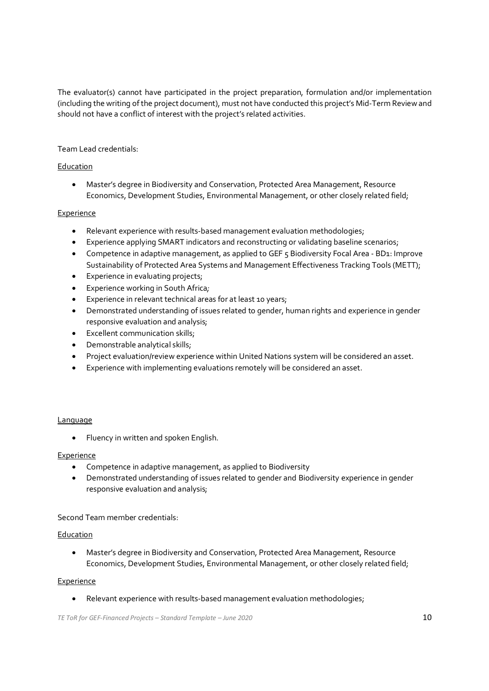The evaluator(s) cannot have participated in the project preparation, formulation and/or implementation (including the writing ofthe project document), must not have conducted this project's Mid-Term Review and should not have a conflict of interest with the project's related activities.

### Team Lead credentials:

#### Education

· Master's degree in Biodiversity and Conservation, Protected Area Management, Resource Economics, Development Studies, Environmental Management, or other closely related field;

#### Experience

- · Relevant experience with results-based management evaluation methodologies;
- · Experience applying SMART indicators and reconstructing or validating baseline scenarios;
- · Competence in adaptive management, as applied to GEF 5 Biodiversity Focal Area BD1: Improve Sustainability of Protected Area Systems and Management Effectiveness Tracking Tools (METT);
- Experience in evaluating projects;
- · Experience working in South Africa*;*
- · Experience in relevant technical areas for at least 10 years;
- · Demonstrated understanding of issues related to gender, human rights and experience in gender responsive evaluation and analysis;
- · Excellent communication skills;
- · Demonstrable analytical skills;
- · Project evaluation/review experience within United Nations system will be considered an asset.
- · Experience with implementing evaluations remotely will be considered an asset.

#### **Language**

· Fluency in written and spoken English.

#### Experience

- · Competence in adaptive management, as applied to Biodiversity
- · Demonstrated understanding of issues related to gender and Biodiversity experience in gender responsive evaluation and analysis;

Second Team member credentials:

#### Education

· Master's degree in Biodiversity and Conservation, Protected Area Management, Resource Economics, Development Studies, Environmental Management, or other closely related field;

#### Experience

· Relevant experience with results-based management evaluation methodologies;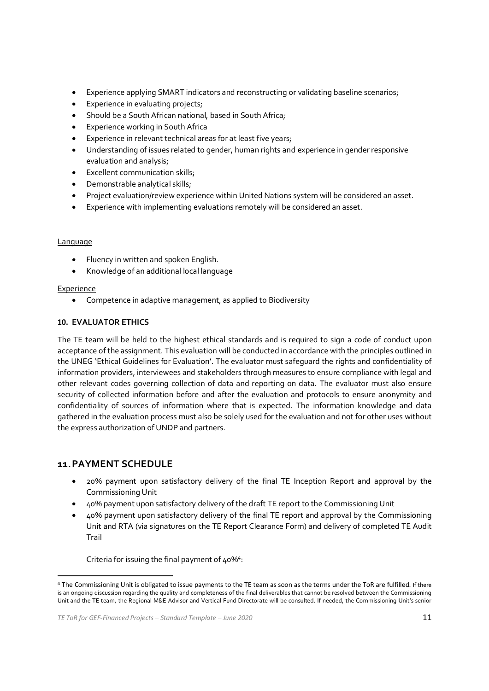- · Experience applying SMART indicators and reconstructing or validating baseline scenarios;
- · Experience in evaluating projects;
- · Should be a South African national, based in South Africa*;*
- · Experience working in South Africa
- Experience in relevant technical areas for at least five years;
- · Understanding of issues related to gender, human rights and experience in gender responsive evaluation and analysis;
- · Excellent communication skills;
- · Demonstrable analytical skills;
- · Project evaluation/review experience within United Nations system will be considered an asset.
- · Experience with implementing evaluations remotely will be considered an asset.

#### Language

- · Fluency in written and spoken English.
- · Knowledge of an additional local language

#### Experience

· Competence in adaptive management, as applied to Biodiversity

#### **10. EVALUATOR ETHICS**

The TE team will be held to the highest ethical standards and is required to sign a code of conduct upon acceptance of the assignment. This evaluation will be conducted in accordance with the principles outlined in the UNEG 'Ethical Guidelines for Evaluation'. The evaluator must safeguard the rights and confidentiality of information providers, interviewees and stakeholders through measures to ensure compliance with legal and other relevant codes governing collection of data and reporting on data. The evaluator must also ensure security of collected information before and after the evaluation and protocols to ensure anonymity and confidentiality of sources of information where that is expected. The information knowledge and data gathered in the evaluation process must also be solely used for the evaluation and not for other uses without the express authorization of UNDP and partners.

### **11.PAYMENT SCHEDULE**

- · 20% payment upon satisfactory delivery of the final TE Inception Report and approval by the Commissioning Unit
- · 40% payment upon satisfactory delivery of the draft TE report to the Commissioning Unit
- · 40% payment upon satisfactory delivery of the final TE report and approval by the Commissioning Unit and RTA (via signatures on the TE Report Clearance Form) and delivery of completed TE Audit Trail

Criteria for issuing the final payment of 40%<sup>4</sup>:

<sup>4</sup> The Commissioning Unit is obligated to issue payments to the TE team as soon as the terms under the ToR are fulfilled. If there is an ongoing discussion regarding the quality and completeness of the final deliverables that cannot be resolved between the Commissioning Unit and the TE team, the Regional M&E Advisor and Vertical Fund Directorate will be consulted. If needed, the Commissioning Unit's senior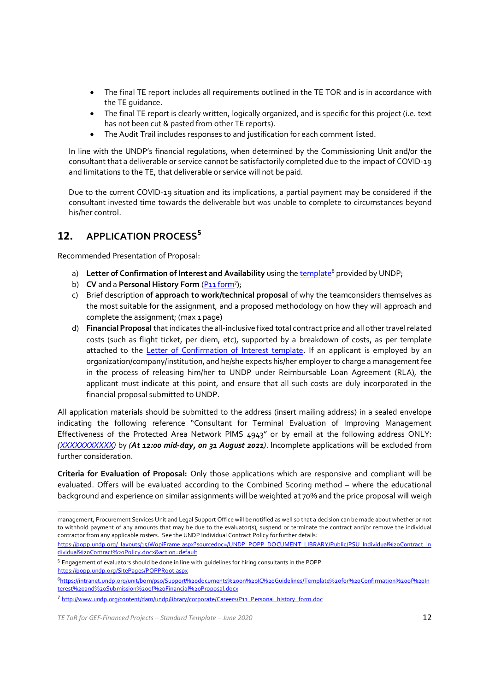- · The final TE report includes all requirements outlined in the TE TOR and is in accordance with the TE guidance.
- The final TE report is clearly written, logically organized, and is specific for this project (i.e. text has not been cut & pasted from other TE reports).
- · The Audit Trail includes responses to and justification for each comment listed.

In line with the UNDP's financial regulations, when determined by the Commissioning Unit and/or the consultant that a deliverable or service cannot be satisfactorily completed due to the impact of COVID-19 and limitations to the TE, that deliverable or service will not be paid.

Due to the current COVID-19 situation and its implications, a partial payment may be considered if the consultant invested time towards the deliverable but was unable to complete to circumstances beyond his/her control.

## **12. APPLICATION PROCESS 5**

Recommended Presentation of Proposal:

- a) **Letter of Confirmation of Interest and Availability** using the template <sup>6</sup> provided by UNDP;
- b) **CV** and a **Personal History Form** (P11 form<sup>7</sup>);
- c) Brief description **of approach to work/technical proposal** of why the teamconsiders themselves as the most suitable for the assignment, and a proposed methodology on how they will approach and complete the assignment; (max 1 page)
- d) **FinancialProposal** that indicates the all-inclusive fixed total contract price and all other travelrelated costs (such as flight ticket, per diem, etc), supported by a breakdown of costs, as per template attached to the Letter of Confirmation of Interest template. If an applicant is employed by an organization/company/institution, and he/she expects his/her employer to charge a management fee in the process of releasing him/her to UNDP under Reimbursable Loan Agreement (RLA), the applicant must indicate at this point, and ensure that all such costs are duly incorporated in the financial proposal submitted to UNDP.

All application materials should be submitted to the address (insert mailing address) in a sealed envelope indicating the following reference "Consultant for Terminal Evaluation of Improving Management Effectiveness of the Protected Area Network PIMS 4943" or by email at the following address ONLY: *(XXXXXXXXXXX)* by *(At 12:00 mid-day, on 31 August 2021)*. Incomplete applications will be excluded from further consideration.

**Criteria for Evaluation of Proposal:** Only those applications which are responsive and compliant will be evaluated. Offers will be evaluated according to the Combined Scoring method – where the educational background and experience on similar assignments will be weighted at 70% and the price proposal will weigh

<sup>5</sup> Engagement of evaluators should be done in line with guidelines for hiring consultants in the POPP https://popp.undp.org/SitePages/POPPRoot.aspx

management, Procurement Services Unit and Legal Support Office will be notified as well so that a decision can be made about whether or not to withhold payment of any amounts that may be due to the evaluator(s), suspend or terminate the contract and/or remove the individual contractor from any applicable rosters. See the UNDP Individual Contract Policy forfurther details:

https://popp.undp.org/\_layouts/15/WopiFrame.aspx?sourcedoc=/UNDP\_POPP\_DOCUMENT\_LIBRARY/Public/PSU\_Individual%20Contract\_In dividual%20Contract%20Policy.docx&action=default

<sup>6</sup>https://intranet.undp.org/unit/bom/pso/Support%20documents%20on%20IC%20Guidelines/Template%20for%20Confirmation%20of%20In terest%20and%20Submission%20of%20Financial%20Proposal.docx

<sup>7</sup> http://www.undp.org/content/dam/undp/library/corporate/Careers/P11\_Personal\_history\_form.doc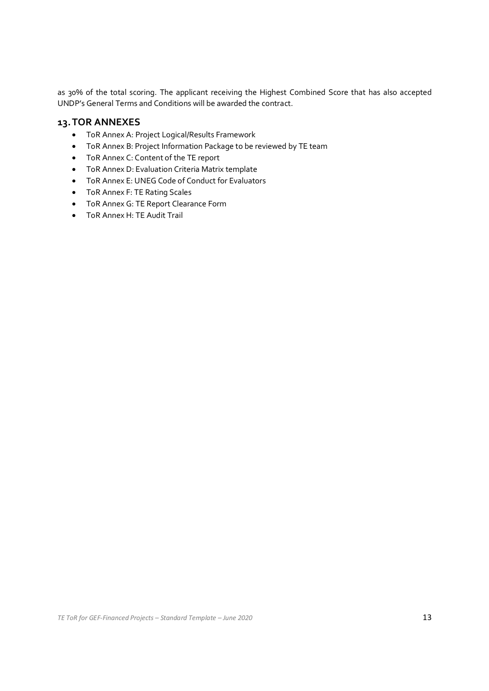as 30% of the total scoring. The applicant receiving the Highest Combined Score that has also accepted UNDP's General Terms and Conditions will be awarded the contract.

## **13.TOR ANNEXES**

- · ToR Annex A: Project Logical/Results Framework
- · ToR Annex B: Project Information Package to be reviewed by TE team
- · ToR Annex C: Content of the TE report
- · ToR Annex D: Evaluation Criteria Matrix template
- · ToR Annex E: UNEG Code of Conduct for Evaluators
- · ToR Annex F: TE Rating Scales
- · ToR Annex G: TE Report Clearance Form
- · ToR Annex H: TE Audit Trail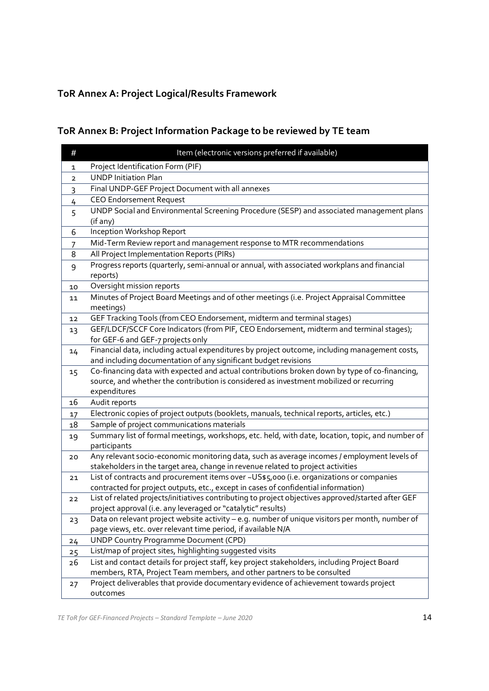# **ToR Annex A: Project Logical/Results Framework**

# **ToR Annex B: Project Information Package to be reviewed by TE team**

| #  | Item (electronic versions preferred if available)                                                                                                                                        |
|----|------------------------------------------------------------------------------------------------------------------------------------------------------------------------------------------|
| 1  | Project Identification Form (PIF)                                                                                                                                                        |
| 2  | <b>UNDP Initiation Plan</b>                                                                                                                                                              |
| 3  | Final UNDP-GEF Project Document with all annexes                                                                                                                                         |
| 4  | <b>CEO Endorsement Request</b>                                                                                                                                                           |
| 5  | UNDP Social and Environmental Screening Procedure (SESP) and associated management plans                                                                                                 |
|    | (if any)                                                                                                                                                                                 |
| 6  | Inception Workshop Report                                                                                                                                                                |
| 7  | Mid-Term Review report and management response to MTR recommendations                                                                                                                    |
| 8  | All Project Implementation Reports (PIRs)                                                                                                                                                |
| 9  | Progress reports (quarterly, semi-annual or annual, with associated workplans and financial                                                                                              |
|    | reports)                                                                                                                                                                                 |
| 10 | Oversight mission reports                                                                                                                                                                |
| 11 | Minutes of Project Board Meetings and of other meetings (i.e. Project Appraisal Committee                                                                                                |
|    | meetings)                                                                                                                                                                                |
| 12 | GEF Tracking Tools (from CEO Endorsement, midterm and terminal stages)                                                                                                                   |
| 13 | GEF/LDCF/SCCF Core Indicators (from PIF, CEO Endorsement, midterm and terminal stages);                                                                                                  |
|    | for GEF-6 and GEF-7 projects only                                                                                                                                                        |
| 14 | Financial data, including actual expenditures by project outcome, including management costs,                                                                                            |
|    | and including documentation of any significant budget revisions                                                                                                                          |
| 15 | Co-financing data with expected and actual contributions broken down by type of co-financing,<br>source, and whether the contribution is considered as investment mobilized or recurring |
|    | expenditures                                                                                                                                                                             |
| 16 | Audit reports                                                                                                                                                                            |
| 17 | Electronic copies of project outputs (booklets, manuals, technical reports, articles, etc.)                                                                                              |
| 18 | Sample of project communications materials                                                                                                                                               |
| 19 | Summary list of formal meetings, workshops, etc. held, with date, location, topic, and number of                                                                                         |
|    | participants                                                                                                                                                                             |
| 20 | Any relevant socio-economic monitoring data, such as average incomes / employment levels of                                                                                              |
|    | stakeholders in the target area, change in revenue related to project activities                                                                                                         |
| 21 | List of contracts and procurement items over ~US\$5,000 (i.e. organizations or companies                                                                                                 |
|    | contracted for project outputs, etc., except in cases of confidential information)                                                                                                       |
| 22 | List of related projects/initiatives contributing to project objectives approved/started after GEF                                                                                       |
|    | project approval (i.e. any leveraged or "catalytic" results)                                                                                                                             |
| 23 | Data on relevant project website activity - e.g. number of unique visitors per month, number of                                                                                          |
|    | page views, etc. over relevant time period, if available N/A                                                                                                                             |
| 24 | <b>UNDP Country Programme Document (CPD)</b>                                                                                                                                             |
| 25 | List/map of project sites, highlighting suggested visits                                                                                                                                 |
| 26 | List and contact details for project staff, key project stakeholders, including Project Board                                                                                            |
|    | members, RTA, Project Team members, and other partners to be consulted                                                                                                                   |
| 27 | Project deliverables that provide documentary evidence of achievement towards project                                                                                                    |
|    | outcomes                                                                                                                                                                                 |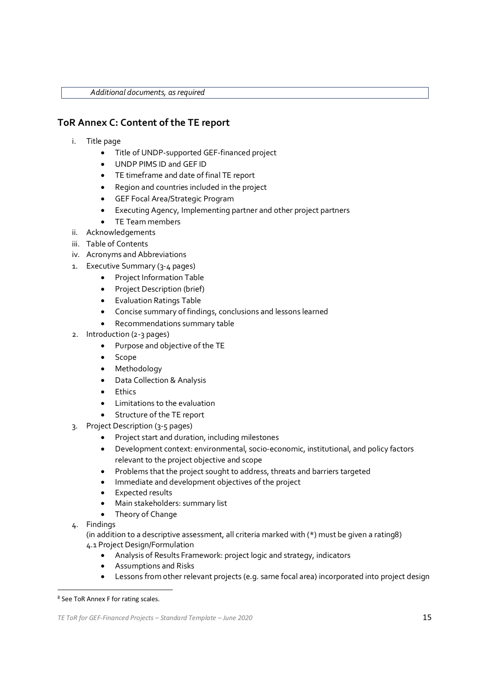*Additional documents, asrequired*

## **ToR Annex C: Content of the TE report**

- i. Title page
	- · Title of UNDP-supported GEF-financed project
	- · UNDP PIMS ID and GEF ID
	- · TE timeframe and date of final TE report
	- · Region and countries included in the project
	- · GEF Focal Area/Strategic Program
	- · Executing Agency, Implementing partner and other project partners
	- TE Team members
- ii. Acknowledgements
- iii. Table of Contents
- iv. Acronyms and Abbreviations
- 1. Executive Summary (3-4 pages)
	- · Project Information Table
	- · Project Description (brief)
	- · Evaluation Ratings Table
	- · Concise summary of findings, conclusions and lessons learned
	- · Recommendations summary table
- 2. Introduction (2-3 pages)
	- · Purpose and objective of the TE
	- · Scope
	- · Methodology
	- · Data Collection & Analysis
	- · Ethics
	- · Limitations to the evaluation
	- Structure of the TE report
- 3. Project Description (3-5 pages)
	- · Project start and duration, including milestones
	- Development context: environmental, socio-economic, institutional, and policy factors relevant to the project objective and scope
	- · Problems that the project sought to address, threats and barriers targeted
	- · Immediate and development objectives of the project
	- · Expected results
	- · Main stakeholders: summary list
	- Theory of Change
- 4. Findings

(in addition to a descriptive assessment, all criteria marked with (\*) must be given a rating8) 4.1 Project Design/Formulation

- · Analysis of Results Framework: project logic and strategy, indicators
- Assumptions and Risks
- · Lessons from other relevant projects (e.g. same focal area) incorporated into project design

<sup>8</sup> See ToR Annex F for rating scales.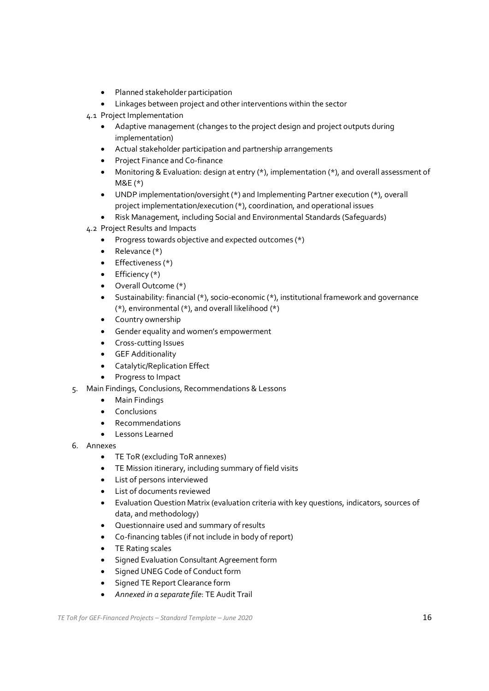- · Planned stakeholder participation
- · Linkages between project and other interventions within the sector
- 4.1 Project Implementation
	- · Adaptive management (changes to the project design and project outputs during implementation)
	- · Actual stakeholder participation and partnership arrangements
	- · Project Finance and Co-finance
	- · Monitoring & Evaluation: design at entry (\*), implementation (\*), and overall assessment of M&E (\*)
	- · UNDP implementation/oversight (\*) and Implementing Partner execution (\*), overall project implementation/execution (\*), coordination, and operational issues
	- · Risk Management, including Social and Environmental Standards (Safeguards)
- 4.2 Project Results and Impacts
	- · Progress towards objective and expected outcomes (\*)
	- $\bullet$  Relevance  $(*)$
	- Effectiveness (\*)
	- $\bullet$  Efficiency (\*)
	- · Overall Outcome (\*)
	- · Sustainability: financial (\*), socio-economic (\*), institutional framework and governance (\*), environmental (\*), and overall likelihood (\*)
	- · Country ownership
	- · Gender equality and women's empowerment
	- · Cross-cutting Issues
	- · GEF Additionality
	- · Catalytic/Replication Effect
	- · Progress to Impact
- 5. Main Findings, Conclusions, Recommendations & Lessons
	- · Main Findings
	- · Conclusions
	- · Recommendations
	- · Lessons Learned
- 6. Annexes
	- · TE ToR (excluding ToR annexes)
	- · TE Mission itinerary, including summary of field visits
	- · List of persons interviewed
	- · List of documents reviewed
	- · Evaluation Question Matrix (evaluation criteria with key questions, indicators, sources of data, and methodology)
	- · Questionnaire used and summary of results
	- Co-financing tables (if not include in body of report)
	- · TE Rating scales
	- · Signed Evaluation Consultant Agreement form
	- Signed UNEG Code of Conduct form
	- · Signed TE Report Clearance form
	- · *Annexed in a separate file*: TE Audit Trail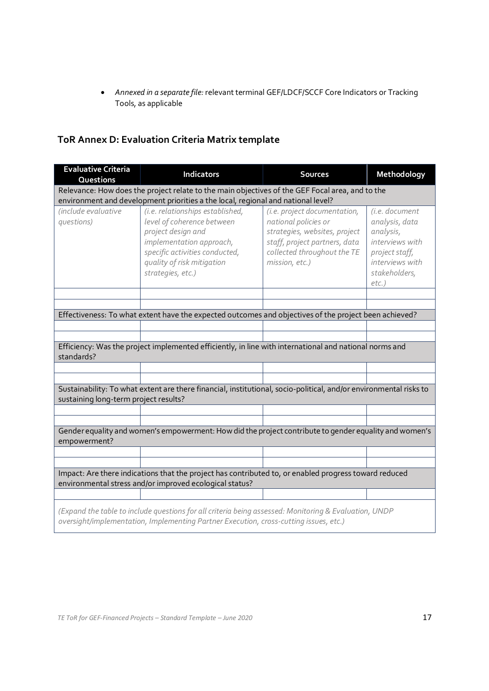· *Annexed in a separate file:* relevant terminal GEF/LDCF/SCCF Core Indicators or Tracking Tools, as applicable

## **ToR Annex D: Evaluation Criteria Matrix template**

| <b>Evaluative Criteria</b><br><b>Questions</b>                                                                                                                                                 | <b>Indicators</b>                                                                                                                                                                                     | <b>Sources</b>                                                                                                                                                          | Methodology                                                                                                                        |  |  |
|------------------------------------------------------------------------------------------------------------------------------------------------------------------------------------------------|-------------------------------------------------------------------------------------------------------------------------------------------------------------------------------------------------------|-------------------------------------------------------------------------------------------------------------------------------------------------------------------------|------------------------------------------------------------------------------------------------------------------------------------|--|--|
| Relevance: How does the project relate to the main objectives of the GEF Focal area, and to the                                                                                                |                                                                                                                                                                                                       |                                                                                                                                                                         |                                                                                                                                    |  |  |
|                                                                                                                                                                                                | environment and development priorities a the local, regional and national level?                                                                                                                      |                                                                                                                                                                         |                                                                                                                                    |  |  |
| (include evaluative<br>questions)                                                                                                                                                              | (i.e. relationships established,<br>level of coherence between<br>project design and<br>implementation approach,<br>specific activities conducted,<br>quality of risk mitigation<br>strategies, etc.) | (i.e. project documentation,<br>national policies or<br>strategies, websites, project<br>staff, project partners, data<br>collected throughout the TE<br>mission, etc.) | (i.e. document<br>analysis, data<br>analysis,<br>interviews with<br>project staff,<br>interviews with<br>stakeholders,<br>$etc.$ ) |  |  |
|                                                                                                                                                                                                |                                                                                                                                                                                                       |                                                                                                                                                                         |                                                                                                                                    |  |  |
|                                                                                                                                                                                                | Effectiveness: To what extent have the expected outcomes and objectives of the project been achieved?                                                                                                 |                                                                                                                                                                         |                                                                                                                                    |  |  |
|                                                                                                                                                                                                |                                                                                                                                                                                                       |                                                                                                                                                                         |                                                                                                                                    |  |  |
|                                                                                                                                                                                                |                                                                                                                                                                                                       |                                                                                                                                                                         |                                                                                                                                    |  |  |
| standards?                                                                                                                                                                                     | Efficiency: Was the project implemented efficiently, in line with international and national norms and                                                                                                |                                                                                                                                                                         |                                                                                                                                    |  |  |
|                                                                                                                                                                                                |                                                                                                                                                                                                       |                                                                                                                                                                         |                                                                                                                                    |  |  |
| Sustainability: To what extent are there financial, institutional, socio-political, and/or environmental risks to<br>sustaining long-term project results?                                     |                                                                                                                                                                                                       |                                                                                                                                                                         |                                                                                                                                    |  |  |
|                                                                                                                                                                                                |                                                                                                                                                                                                       |                                                                                                                                                                         |                                                                                                                                    |  |  |
| Gender equality and women's empowerment: How did the project contribute to gender equality and women's<br>empowerment?                                                                         |                                                                                                                                                                                                       |                                                                                                                                                                         |                                                                                                                                    |  |  |
|                                                                                                                                                                                                |                                                                                                                                                                                                       |                                                                                                                                                                         |                                                                                                                                    |  |  |
|                                                                                                                                                                                                |                                                                                                                                                                                                       |                                                                                                                                                                         |                                                                                                                                    |  |  |
|                                                                                                                                                                                                | Impact: Are there indications that the project has contributed to, or enabled progress toward reduced<br>environmental stress and/or improved ecological status?                                      |                                                                                                                                                                         |                                                                                                                                    |  |  |
|                                                                                                                                                                                                |                                                                                                                                                                                                       |                                                                                                                                                                         |                                                                                                                                    |  |  |
| (Expand the table to include questions for all criteria being assessed: Monitoring & Evaluation, UNDP<br>oversight/implementation, Implementing Partner Execution, cross-cutting issues, etc.) |                                                                                                                                                                                                       |                                                                                                                                                                         |                                                                                                                                    |  |  |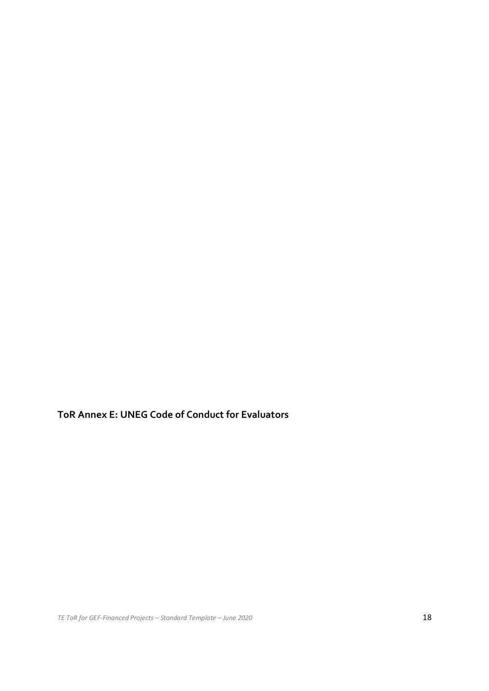**ToR Annex E: UNEG Code of Conduct for Evaluators**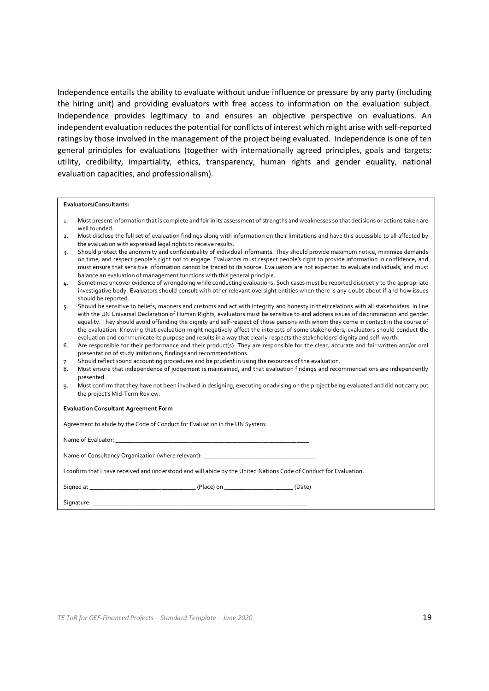Independence entails the ability to evaluate without undue influence or pressure by any party (including the hiring unit) and providing evaluators with free access to information on the evaluation subject. Independence provides legitimacy to and ensures an objective perspective on evaluations. An independent evaluation reduces the potential for conflicts of interest which might arise with self-reported ratings by those involved in the management of the project being evaluated. Independence is one of ten general principles for evaluations (together with internationally agreed principles, goals and targets: utility, credibility, impartiality, ethics, transparency, human rights and gender equality, national evaluation capacities, and professionalism).

#### **Evaluators/Consultants:**

1. Must presentinformation thatis complete and fair in its assessment of strengths and weaknesses so that decisions or actions taken are well founded.

- 7. Should reflect sound accounting procedures and be prudent in using the resources of the evaluation.
- 8. Must ensure that independence of judgement is maintained, and that evaluation findings and recommendations are independently presented.
- 9. Must confirm that they have not been involved in designing, executing or advising on the project being evaluated and did not carry out the project's Mid-Term Review.

#### **Evaluation Consultant Agreement Form**

| Agreement to abide by the Code of Conduct for Evaluation in the UN System:                                         |  |  |  |
|--------------------------------------------------------------------------------------------------------------------|--|--|--|
|                                                                                                                    |  |  |  |
| Name of Consultancy Organization (where relevant): ______________________________                                  |  |  |  |
| I confirm that I have received and understood and will abide by the United Nations Code of Conduct for Evaluation. |  |  |  |
|                                                                                                                    |  |  |  |
|                                                                                                                    |  |  |  |

<sup>2.</sup> Must disclose the full set of evaluation findings along with information on their limitations and have this accessible to all affected by the evaluation with expressed legal rights to receive results.

<sup>3.</sup> Should protect the anonymity and confidentiality of individual informants. They should provide maximum notice, minimize demands on time, and respect people's right not to engage. Evaluators must respect people's right to provide information in confidence, and must ensure that sensitive information cannot be traced to its source. Evaluators are not expected to evaluate individuals, and must balance an evaluation of management functions with this general principle.

<sup>4.</sup> Sometimes uncover evidence of wrongdoing while conducting evaluations. Such cases must be reported discreetly to the appropriate investigative body. Evaluators should consult with other relevant oversight entities when there is any doubt about if and how issues should be reported.

<sup>5.</sup> Should be sensitive to beliefs, manners and customs and act with integrity and honesty in their relations with all stakeholders. In line with the UN Universal Declaration of Human Rights, evaluators must be sensitive to and address issues of discrimination and gender equality. They should avoid offending the dignity and self-respect of those persons with whom they come in contact in the course of the evaluation. Knowing that evaluation might negatively affect the interests of some stakeholders, evaluators should conduct the evaluation and communicate its purpose and results in a way that clearly respects the stakeholders' dignity and self-worth.

<sup>6.</sup> Are responsible for their performance and their product(s). They are responsible for the clear, accurate and fair written and/or oral presentation of study imitations, findings and recommendations.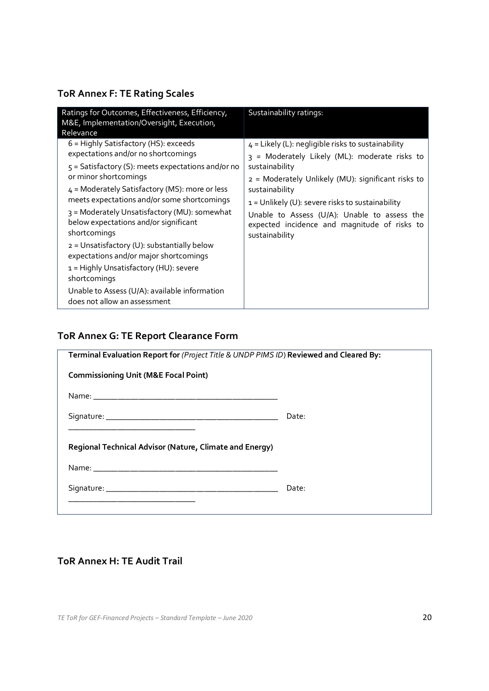## **ToR Annex F: TE Rating Scales**

| Ratings for Outcomes, Effectiveness, Efficiency,<br>M&E, Implementation/Oversight, Execution,                                                                                                                                                                                                                                                                                                                                                                                                                                                                                                                            | Sustainability ratings:                                                                                                                                                                                                                                                                                                                                                 |
|--------------------------------------------------------------------------------------------------------------------------------------------------------------------------------------------------------------------------------------------------------------------------------------------------------------------------------------------------------------------------------------------------------------------------------------------------------------------------------------------------------------------------------------------------------------------------------------------------------------------------|-------------------------------------------------------------------------------------------------------------------------------------------------------------------------------------------------------------------------------------------------------------------------------------------------------------------------------------------------------------------------|
| Relevance<br>$6$ = Highly Satisfactory (HS): exceeds<br>expectations and/or no shortcomings<br>5 = Satisfactory (S): meets expectations and/or no<br>or minor shortcomings<br>4 = Moderately Satisfactory (MS): more or less<br>meets expectations and/or some shortcomings<br>3 = Moderately Unsatisfactory (MU): somewhat<br>below expectations and/or significant<br>shortcomings<br>2 = Unsatisfactory (U): substantially below<br>expectations and/or major shortcomings<br>1 = Highly Unsatisfactory (HU): severe<br>shortcomings<br>Unable to Assess (U/A): available information<br>does not allow an assessment | $4$ = Likely (L): negligible risks to sustainability<br>3 = Moderately Likely (ML): moderate risks to<br>sustainability<br>2 = Moderately Unlikely (MU): significant risks to<br>sustainability<br>$1 =$ Unlikely (U): severe risks to sustainability<br>Unable to Assess (U/A): Unable to assess the<br>expected incidence and magnitude of risks to<br>sustainability |

## **ToR Annex G: TE Report Clearance Form**

| Terminal Evaluation Report for (Project Title & UNDP PIMS ID) Reviewed and Cleared By:                                                                                           |       |  |  |  |
|----------------------------------------------------------------------------------------------------------------------------------------------------------------------------------|-------|--|--|--|
| <b>Commissioning Unit (M&amp;E Focal Point)</b>                                                                                                                                  |       |  |  |  |
|                                                                                                                                                                                  |       |  |  |  |
|                                                                                                                                                                                  | Date: |  |  |  |
| <u> 1989 - Johann John Stoff, deutscher Stoffen und der Stoffen und der Stoffen und der Stoffen und der Stoffen u</u><br>Regional Technical Advisor (Nature, Climate and Energy) |       |  |  |  |
|                                                                                                                                                                                  |       |  |  |  |
|                                                                                                                                                                                  | Date: |  |  |  |
|                                                                                                                                                                                  |       |  |  |  |

## **ToR Annex H: TE Audit Trail**